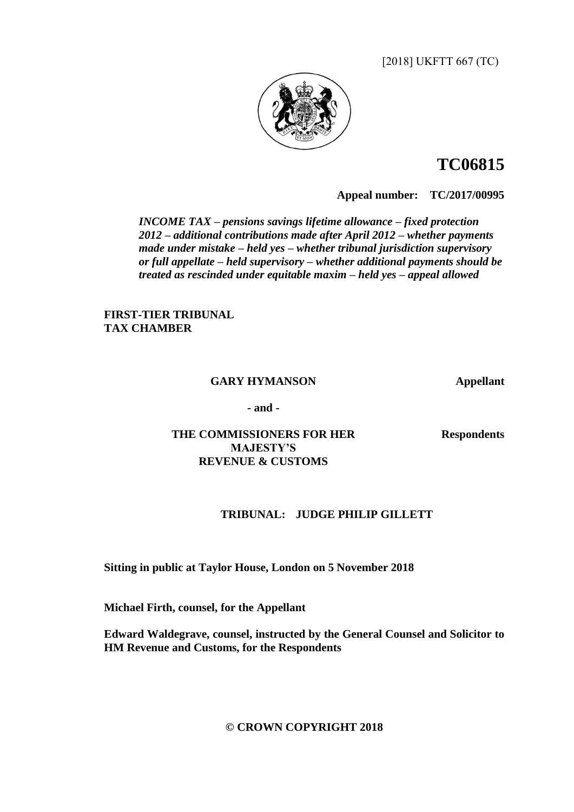[2018] UKFTT 667 (TC)



# **TC06815**

**Appeal number: TC/2017/00995** 

*INCOME TAX – pensions savings lifetime allowance – fixed protection 2012 – additional contributions made after April 2012 – whether payments made under mistake – held yes – whether tribunal jurisdiction supervisory or full appellate – held supervisory – whether additional payments should be treated as rescinded under equitable maxim – held yes – appeal allowed*

**FIRST-TIER TRIBUNAL TAX CHAMBER**

## **GARY HYMANSON Appellant**

**Respondents**

**- and -**

## **THE COMMISSIONERS FOR HER MAJESTY'S REVENUE & CUSTOMS**

**TRIBUNAL: JUDGE PHILIP GILLETT**

**Sitting in public at Taylor House, London on 5 November 2018**

**Michael Firth, counsel, for the Appellant**

**Edward Waldegrave, counsel, instructed by the General Counsel and Solicitor to HM Revenue and Customs, for the Respondents**

**© CROWN COPYRIGHT 2018**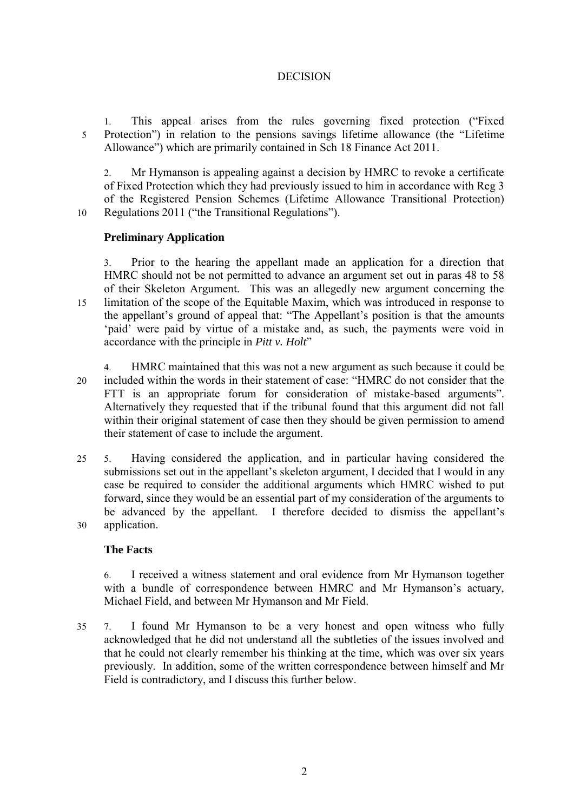# DECISION

1. This appeal arises from the rules governing fixed protection ("Fixed 5 Protection") in relation to the pensions savings lifetime allowance (the "Lifetime Allowance") which are primarily contained in Sch 18 Finance Act 2011.

2. Mr Hymanson is appealing against a decision by HMRC to revoke a certificate of Fixed Protection which they had previously issued to him in accordance with Reg 3 of the Registered Pension Schemes (Lifetime Allowance Transitional Protection) 10 Regulations 2011 ("the Transitional Regulations").

# **Preliminary Application**

3. Prior to the hearing the appellant made an application for a direction that HMRC should not be not permitted to advance an argument set out in paras 48 to 58 of their Skeleton Argument. This was an allegedly new argument concerning the 15 limitation of the scope of the Equitable Maxim, which was introduced in response to the appellant's ground of appeal that: "The Appellant's position is that the amounts 'paid' were paid by virtue of a mistake and, as such, the payments were void in accordance with the principle in *Pitt v. Holt*"

- 4. HMRC maintained that this was not a new argument as such because it could be 20 included within the words in their statement of case: "HMRC do not consider that the FTT is an appropriate forum for consideration of mistake-based arguments". Alternatively they requested that if the tribunal found that this argument did not fall within their original statement of case then they should be given permission to amend their statement of case to include the argument.
- 25 5. Having considered the application, and in particular having considered the submissions set out in the appellant's skeleton argument, I decided that I would in any case be required to consider the additional arguments which HMRC wished to put forward, since they would be an essential part of my consideration of the arguments to be advanced by the appellant. I therefore decided to dismiss the appellant's 30 application.

## **The Facts**

6. I received a witness statement and oral evidence from Mr Hymanson together with a bundle of correspondence between HMRC and Mr Hymanson's actuary, Michael Field, and between Mr Hymanson and Mr Field.

35 7. I found Mr Hymanson to be a very honest and open witness who fully acknowledged that he did not understand all the subtleties of the issues involved and that he could not clearly remember his thinking at the time, which was over six years previously. In addition, some of the written correspondence between himself and Mr Field is contradictory, and I discuss this further below.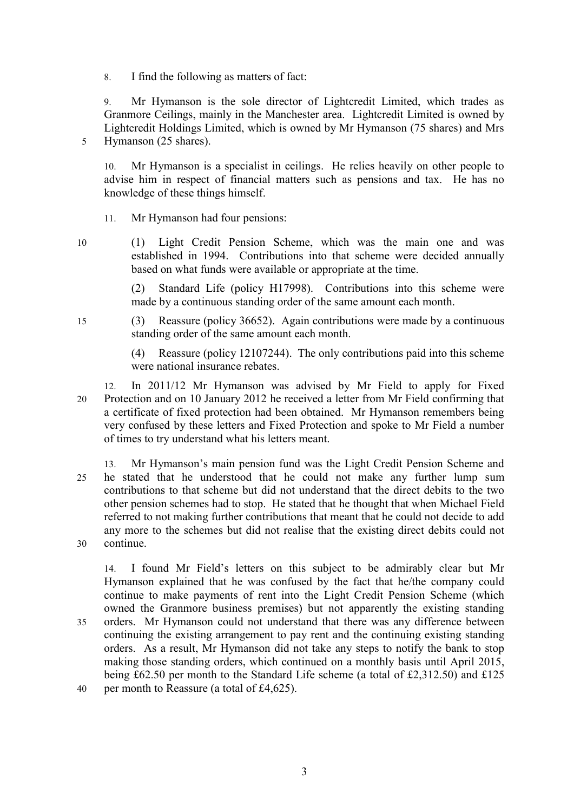8. I find the following as matters of fact:

9. Mr Hymanson is the sole director of Lightcredit Limited, which trades as Granmore Ceilings, mainly in the Manchester area. Lightcredit Limited is owned by Lightcredit Holdings Limited, which is owned by Mr Hymanson (75 shares) and Mrs 5 Hymanson (25 shares).

10. Mr Hymanson is a specialist in ceilings. He relies heavily on other people to advise him in respect of financial matters such as pensions and tax. He has no knowledge of these things himself.

- 11. Mr Hymanson had four pensions:
- 

10 (1) Light Credit Pension Scheme, which was the main one and was established in 1994. Contributions into that scheme were decided annually based on what funds were available or appropriate at the time.

> (2) Standard Life (policy H17998). Contributions into this scheme were made by a continuous standing order of the same amount each month.

15 (3) Reassure (policy 36652). Again contributions were made by a continuous standing order of the same amount each month.

> (4) Reassure (policy 12107244). The only contributions paid into this scheme were national insurance rebates.

12. In 2011/12 Mr Hymanson was advised by Mr Field to apply for Fixed 20 Protection and on 10 January 2012 he received a letter from Mr Field confirming that a certificate of fixed protection had been obtained. Mr Hymanson remembers being very confused by these letters and Fixed Protection and spoke to Mr Field a number of times to try understand what his letters meant.

13. Mr Hymanson's main pension fund was the Light Credit Pension Scheme and 25 he stated that he understood that he could not make any further lump sum contributions to that scheme but did not understand that the direct debits to the two other pension schemes had to stop. He stated that he thought that when Michael Field referred to not making further contributions that meant that he could not decide to add any more to the schemes but did not realise that the existing direct debits could not 30 continue.

14. I found Mr Field's letters on this subject to be admirably clear but Mr Hymanson explained that he was confused by the fact that he/the company could continue to make payments of rent into the Light Credit Pension Scheme (which owned the Granmore business premises) but not apparently the existing standing

- 35 orders. Mr Hymanson could not understand that there was any difference between continuing the existing arrangement to pay rent and the continuing existing standing orders. As a result, Mr Hymanson did not take any steps to notify the bank to stop making those standing orders, which continued on a monthly basis until April 2015, being £62.50 per month to the Standard Life scheme (a total of £2,312.50) and £125
- 40 per month to Reassure (a total of £4,625).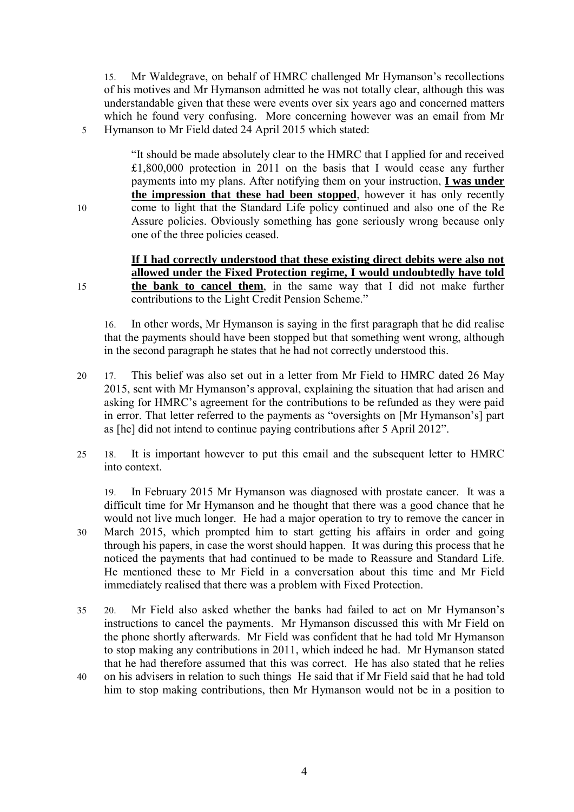15. Mr Waldegrave, on behalf of HMRC challenged Mr Hymanson's recollections of his motives and Mr Hymanson admitted he was not totally clear, although this was understandable given that these were events over six years ago and concerned matters which he found very confusing. More concerning however was an email from Mr 5 Hymanson to Mr Field dated 24 April 2015 which stated:

"It should be made absolutely clear to the HMRC that I applied for and received £1,800,000 protection in 2011 on the basis that I would cease any further payments into my plans. After notifying them on your instruction, **I was under the impression that these had been stopped**, however it has only recently 10 come to light that the Standard Life policy continued and also one of the Re Assure policies. Obviously something has gone seriously wrong because only one of the three policies ceased.

> **If I had correctly understood that these existing direct debits were also not allowed under the Fixed Protection regime, I would undoubtedly have told**

15 **the bank to cancel them**, in the same way that I did not make further contributions to the Light Credit Pension Scheme."

16. In other words, Mr Hymanson is saying in the first paragraph that he did realise that the payments should have been stopped but that something went wrong, although in the second paragraph he states that he had not correctly understood this.

- 20 17. This belief was also set out in a letter from Mr Field to HMRC dated 26 May 2015, sent with Mr Hymanson's approval, explaining the situation that had arisen and asking for HMRC's agreement for the contributions to be refunded as they were paid in error. That letter referred to the payments as "oversights on [Mr Hymanson's] part as [he] did not intend to continue paying contributions after 5 April 2012".
- 25 18. It is important however to put this email and the subsequent letter to HMRC into context.

19. In February 2015 Mr Hymanson was diagnosed with prostate cancer. It was a difficult time for Mr Hymanson and he thought that there was a good chance that he would not live much longer. He had a major operation to try to remove the cancer in 30 March 2015, which prompted him to start getting his affairs in order and going through his papers, in case the worst should happen. It was during this process that he noticed the payments that had continued to be made to Reassure and Standard Life. He mentioned these to Mr Field in a conversation about this time and Mr Field immediately realised that there was a problem with Fixed Protection.

- 35 20. Mr Field also asked whether the banks had failed to act on Mr Hymanson's instructions to cancel the payments. Mr Hymanson discussed this with Mr Field on the phone shortly afterwards. Mr Field was confident that he had told Mr Hymanson to stop making any contributions in 2011, which indeed he had. Mr Hymanson stated that he had therefore assumed that this was correct. He has also stated that he relies 40 on his advisers in relation to such things He said that if Mr Field said that he had told
- him to stop making contributions, then Mr Hymanson would not be in a position to

4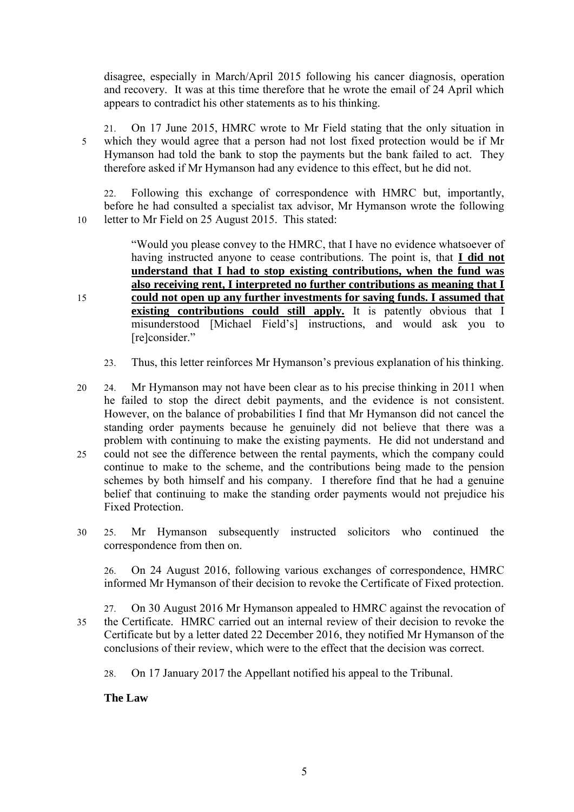disagree, especially in March/April 2015 following his cancer diagnosis, operation and recovery. It was at this time therefore that he wrote the email of 24 April which appears to contradict his other statements as to his thinking.

21. On 17 June 2015, HMRC wrote to Mr Field stating that the only situation in 5 which they would agree that a person had not lost fixed protection would be if Mr Hymanson had told the bank to stop the payments but the bank failed to act. They therefore asked if Mr Hymanson had any evidence to this effect, but he did not.

22. Following this exchange of correspondence with HMRC but, importantly, before he had consulted a specialist tax advisor, Mr Hymanson wrote the following 10 letter to Mr Field on 25 August 2015. This stated:

"Would you please convey to the HMRC, that I have no evidence whatsoever of having instructed anyone to cease contributions. The point is, that **I did not understand that I had to stop existing contributions, when the fund was also receiving rent, I interpreted no further contributions as meaning that I**  15 **could not open up any further investments for saving funds. I assumed that existing contributions could still apply.** It is patently obvious that I misunderstood [Michael Field's] instructions, and would ask you to [re]consider."

- 23. Thus, this letter reinforces Mr Hymanson's previous explanation of his thinking.
- 20 24. Mr Hymanson may not have been clear as to his precise thinking in 2011 when he failed to stop the direct debit payments, and the evidence is not consistent. However, on the balance of probabilities I find that Mr Hymanson did not cancel the standing order payments because he genuinely did not believe that there was a problem with continuing to make the existing payments. He did not understand and 25 could not see the difference between the rental payments, which the company could continue to make to the scheme, and the contributions being made to the pension schemes by both himself and his company. I therefore find that he had a genuine
- 30 25. Mr Hymanson subsequently instructed solicitors who continued the correspondence from then on.

26. On 24 August 2016, following various exchanges of correspondence, HMRC informed Mr Hymanson of their decision to revoke the Certificate of Fixed protection.

belief that continuing to make the standing order payments would not prejudice his

- 27. On 30 August 2016 Mr Hymanson appealed to HMRC against the revocation of 35 the Certificate. HMRC carried out an internal review of their decision to revoke the Certificate but by a letter dated 22 December 2016, they notified Mr Hymanson of the conclusions of their review, which were to the effect that the decision was correct.
	- 28. On 17 January 2017 the Appellant notified his appeal to the Tribunal.

# **The Law**

Fixed Protection.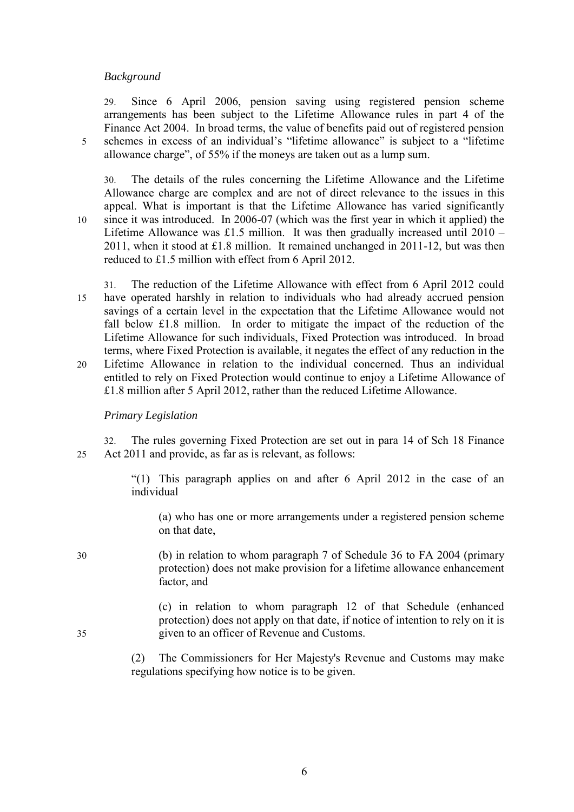## *Background*

29. Since 6 April 2006, pension saving using registered pension scheme arrangements has been subject to the Lifetime Allowance rules in part 4 of the Finance Act 2004. In broad terms, the value of benefits paid out of registered pension 5 schemes in excess of an individual's "lifetime allowance" is subject to a "lifetime allowance charge", of 55% if the moneys are taken out as a lump sum.

30. The details of the rules concerning the Lifetime Allowance and the Lifetime Allowance charge are complex and are not of direct relevance to the issues in this appeal. What is important is that the Lifetime Allowance has varied significantly 10 since it was introduced. In 2006-07 (which was the first year in which it applied) the Lifetime Allowance was £1.5 million. It was then gradually increased until  $2010 -$ 2011, when it stood at £1.8 million. It remained unchanged in 2011-12, but was then reduced to £1.5 million with effect from 6 April 2012.

31. The reduction of the Lifetime Allowance with effect from 6 April 2012 could 15 have operated harshly in relation to individuals who had already accrued pension savings of a certain level in the expectation that the Lifetime Allowance would not fall below £1.8 million. In order to mitigate the impact of the reduction of the Lifetime Allowance for such individuals, Fixed Protection was introduced. In broad terms, where Fixed Protection is available, it negates the effect of any reduction in the 20 Lifetime Allowance in relation to the individual concerned. Thus an individual entitled to rely on Fixed Protection would continue to enjoy a Lifetime Allowance of £1.8 million after 5 April 2012, rather than the reduced Lifetime Allowance.

## *Primary Legislation*

32. The rules governing Fixed Protection are set out in para 14 of Sch 18 Finance 25 Act 2011 and provide, as far as is relevant, as follows:

> "(1) This paragraph applies on and after 6 April 2012 in the case of an individual

(a) who has one or more arrangements under a registered pension scheme on that date,

30 (b) in relation to whom paragraph 7 of Schedule 36 to FA 2004 (primary protection) does not make provision for a lifetime allowance enhancement factor, and

(c) in relation to whom paragraph 12 of that Schedule (enhanced protection) does not apply on that date, if notice of intention to rely on it is 35 given to an officer of Revenue and Customs.

> (2) The Commissioners for Her Majesty's Revenue and Customs may make regulations specifying how notice is to be given.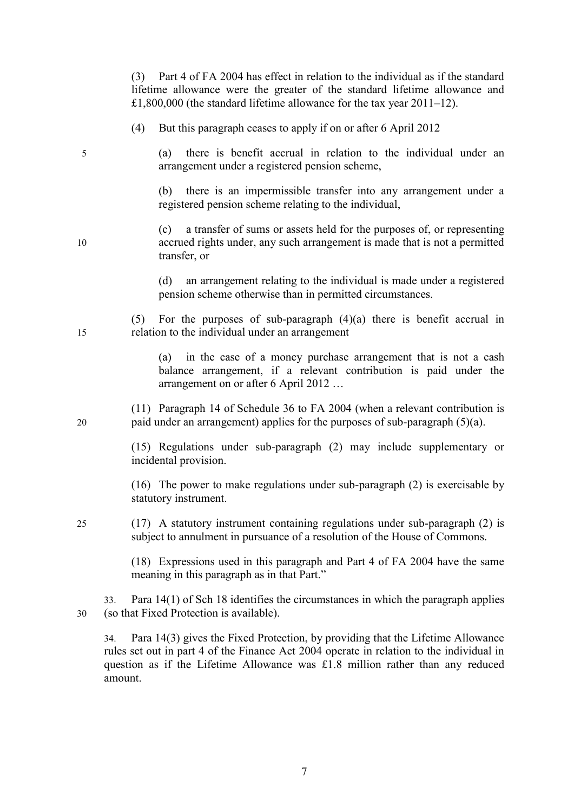(3) Part 4 of FA 2004 has effect in relation to the individual as if the standard lifetime allowance were the greater of the standard lifetime allowance and £1,800,000 (the standard lifetime allowance for the tax year 2011–12). (4) But this paragraph ceases to apply if on or after 6 April 2012 5 (a) there is benefit accrual in relation to the individual under an arrangement under a registered pension scheme, (b) there is an impermissible transfer into any arrangement under a registered pension scheme relating to the individual, (c) a transfer of sums or assets held for the purposes of, or representing 10 accrued rights under, any such arrangement is made that is not a permitted transfer, or (d) an arrangement relating to the individual is made under a registered pension scheme otherwise than in permitted circumstances. (5) For the purposes of sub-paragraph (4)(a) there is benefit accrual in 15 relation to the individual under an arrangement (a) in the case of a money purchase arrangement that is not a cash balance arrangement, if a relevant contribution is paid under the arrangement on or after 6 April 2012 … (11) Paragraph 14 of Schedule 36 to FA 2004 (when a relevant contribution is 20 paid under an arrangement) applies for the purposes of sub-paragraph (5)(a). (15) Regulations under sub-paragraph (2) may include supplementary or incidental provision. (16) The power to make regulations under sub-paragraph (2) is exercisable by statutory instrument. 25 (17) A statutory instrument containing regulations under sub-paragraph (2) is subject to annulment in pursuance of a resolution of the House of Commons. (18) Expressions used in this paragraph and Part 4 of FA 2004 have the same meaning in this paragraph as in that Part." 33. Para 14(1) of Sch 18 identifies the circumstances in which the paragraph applies 30 (so that Fixed Protection is available). 34. Para 14(3) gives the Fixed Protection, by providing that the Lifetime Allowance rules set out in part 4 of the Finance Act 2004 operate in relation to the individual in question as if the Lifetime Allowance was £1.8 million rather than any reduced

amount.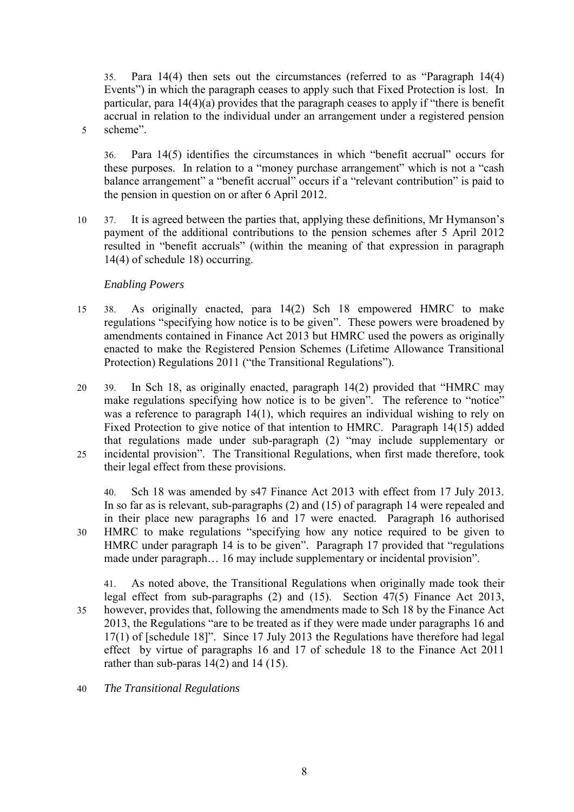35. Para 14(4) then sets out the circumstances (referred to as "Paragraph 14(4) Events") in which the paragraph ceases to apply such that Fixed Protection is lost. In particular, para 14(4)(a) provides that the paragraph ceases to apply if "there is benefit accrual in relation to the individual under an arrangement under a registered pension 5 scheme".

36. Para 14(5) identifies the circumstances in which "benefit accrual" occurs for these purposes. In relation to a "money purchase arrangement" which is not a "cash balance arrangement" a "benefit accrual" occurs if a "relevant contribution" is paid to the pension in question on or after 6 April 2012.

10 37. It is agreed between the parties that, applying these definitions, Mr Hymanson's payment of the additional contributions to the pension schemes after 5 April 2012 resulted in "benefit accruals" (within the meaning of that expression in paragraph 14(4) of schedule 18) occurring.

# *Enabling Powers*

- 15 38. As originally enacted, para 14(2) Sch 18 empowered HMRC to make regulations "specifying how notice is to be given". These powers were broadened by amendments contained in Finance Act 2013 but HMRC used the powers as originally enacted to make the Registered Pension Schemes (Lifetime Allowance Transitional Protection) Regulations 2011 ("the Transitional Regulations").
- 20 39. In Sch 18, as originally enacted, paragraph 14(2) provided that "HMRC may make regulations specifying how notice is to be given". The reference to "notice" was a reference to paragraph 14(1), which requires an individual wishing to rely on Fixed Protection to give notice of that intention to HMRC. Paragraph 14(15) added that regulations made under sub-paragraph (2) "may include supplementary or 25 incidental provision". The Transitional Regulations, when first made therefore, took their legal effect from these provisions.

40. Sch 18 was amended by s47 Finance Act 2013 with effect from 17 July 2013. In so far as is relevant, sub-paragraphs (2) and (15) of paragraph 14 were repealed and in their place new paragraphs 16 and 17 were enacted. Paragraph 16 authorised 30 HMRC to make regulations "specifying how any notice required to be given to HMRC under paragraph 14 is to be given". Paragraph 17 provided that "regulations made under paragraph… 16 may include supplementary or incidental provision".

- 41. As noted above, the Transitional Regulations when originally made took their legal effect from sub-paragraphs (2) and (15). Section 47(5) Finance Act 2013, 35 however, provides that, following the amendments made to Sch 18 by the Finance Act 2013, the Regulations "are to be treated as if they were made under paragraphs 16 and 17(1) of [schedule 18]". Since 17 July 2013 the Regulations have therefore had legal effect by virtue of paragraphs 16 and 17 of schedule 18 to the Finance Act 2011 rather than sub-paras  $14(2)$  and  $14(15)$ .
- 40 *The Transitional Regulations*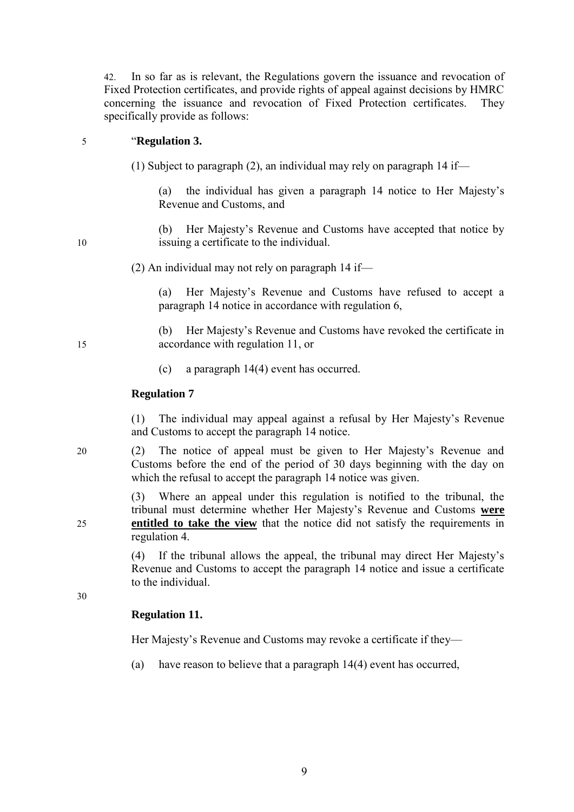42. In so far as is relevant, the Regulations govern the issuance and revocation of Fixed Protection certificates, and provide rights of appeal against decisions by HMRC concerning the issuance and revocation of Fixed Protection certificates. They specifically provide as follows:

## 5 "**Regulation 3.**

(1) Subject to paragraph (2), an individual may rely on paragraph 14 if—

(a) the individual has given a paragraph 14 notice to Her Majesty's Revenue and Customs, and

(b) Her Majesty's Revenue and Customs have accepted that notice by 10 issuing a certificate to the individual.

(2) An individual may not rely on paragraph 14 if—

(a) Her Majesty's Revenue and Customs have refused to accept a paragraph 14 notice in accordance with regulation 6,

(b) Her Majesty's Revenue and Customs have revoked the certificate in 15 accordance with regulation 11, or

(c) a paragraph 14(4) event has occurred.

#### **Regulation 7**

(1) The individual may appeal against a refusal by Her Majesty's Revenue and Customs to accept the paragraph 14 notice.

20 (2) The notice of appeal must be given to Her Majesty's Revenue and Customs before the end of the period of 30 days beginning with the day on which the refusal to accept the paragraph 14 notice was given.

(3) Where an appeal under this regulation is notified to the tribunal, the tribunal must determine whether Her Majesty's Revenue and Customs **were**  25 **entitled to take the view** that the notice did not satisfy the requirements in regulation 4.

> (4) If the tribunal allows the appeal, the tribunal may direct Her Majesty's Revenue and Customs to accept the paragraph 14 notice and issue a certificate to the individual.

30

#### **Regulation 11.**

Her Majesty's Revenue and Customs may revoke a certificate if they—

(a) have reason to believe that a paragraph 14(4) event has occurred,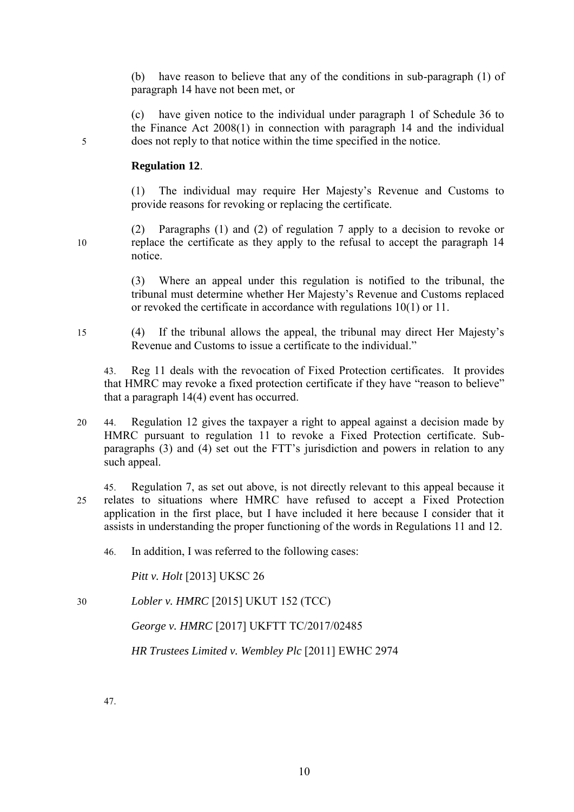(b) have reason to believe that any of the conditions in sub-paragraph (1) of paragraph 14 have not been met, or

(c) have given notice to the individual under paragraph 1 of Schedule 36 to the Finance Act 2008(1) in connection with paragraph 14 and the individual 5 does not reply to that notice within the time specified in the notice.

# **Regulation 12**.

(1) The individual may require Her Majesty's Revenue and Customs to provide reasons for revoking or replacing the certificate.

(2) Paragraphs (1) and (2) of regulation 7 apply to a decision to revoke or 10 replace the certificate as they apply to the refusal to accept the paragraph 14 notice.

> (3) Where an appeal under this regulation is notified to the tribunal, the tribunal must determine whether Her Majesty's Revenue and Customs replaced or revoked the certificate in accordance with regulations 10(1) or 11.

15 (4) If the tribunal allows the appeal, the tribunal may direct Her Majesty's Revenue and Customs to issue a certificate to the individual."

43. Reg 11 deals with the revocation of Fixed Protection certificates. It provides that HMRC may revoke a fixed protection certificate if they have "reason to believe" that a paragraph 14(4) event has occurred.

20 44. Regulation 12 gives the taxpayer a right to appeal against a decision made by HMRC pursuant to regulation 11 to revoke a Fixed Protection certificate. Subparagraphs (3) and (4) set out the FTT's jurisdiction and powers in relation to any such appeal.

45. Regulation 7, as set out above, is not directly relevant to this appeal because it 25 relates to situations where HMRC have refused to accept a Fixed Protection application in the first place, but I have included it here because I consider that it assists in understanding the proper functioning of the words in Regulations 11 and 12.

46. In addition, I was referred to the following cases:

*Pitt v. Holt* [2013] UKSC 26

30 *Lobler v. HMRC* [2015] UKUT 152 (TCC)

*George v. HMRC* [2017] UKFTT TC/2017/02485

*HR Trustees Limited v. Wembley Plc* [2011] EWHC 2974

47.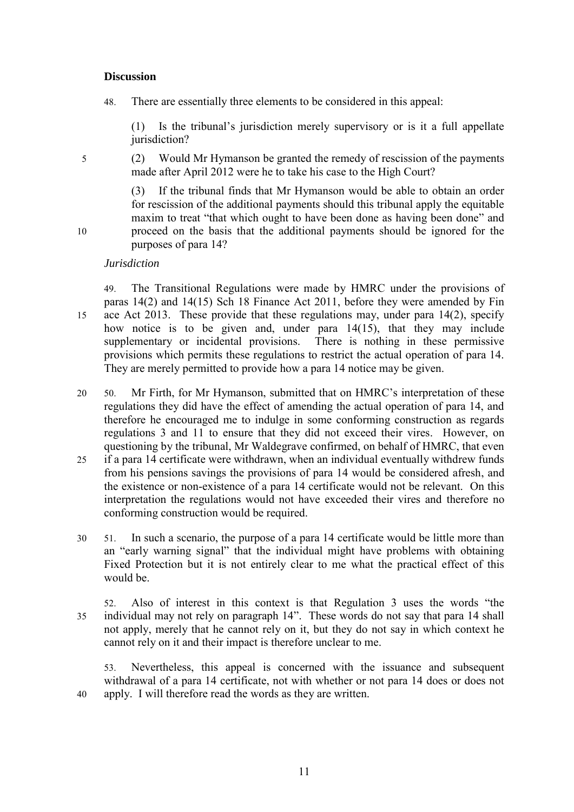## **Discussion**

48. There are essentially three elements to be considered in this appeal:

(1) Is the tribunal's jurisdiction merely supervisory or is it a full appellate jurisdiction?

5 (2) Would Mr Hymanson be granted the remedy of rescission of the payments made after April 2012 were he to take his case to the High Court?

(3) If the tribunal finds that Mr Hymanson would be able to obtain an order for rescission of the additional payments should this tribunal apply the equitable maxim to treat "that which ought to have been done as having been done" and 10 proceed on the basis that the additional payments should be ignored for the purposes of para 14?

#### *Jurisdiction*

49. The Transitional Regulations were made by HMRC under the provisions of paras 14(2) and 14(15) Sch 18 Finance Act 2011, before they were amended by Fin 15 ace Act 2013. These provide that these regulations may, under para 14(2), specify how notice is to be given and, under para 14(15), that they may include supplementary or incidental provisions. There is nothing in these permissive provisions which permits these regulations to restrict the actual operation of para 14. They are merely permitted to provide how a para 14 notice may be given.

20 50. Mr Firth, for Mr Hymanson, submitted that on HMRC's interpretation of these regulations they did have the effect of amending the actual operation of para 14, and therefore he encouraged me to indulge in some conforming construction as regards regulations 3 and 11 to ensure that they did not exceed their vires. However, on questioning by the tribunal, Mr Waldegrave confirmed, on behalf of HMRC, that even

- 25 if a para 14 certificate were withdrawn, when an individual eventually withdrew funds from his pensions savings the provisions of para 14 would be considered afresh, and the existence or non-existence of a para 14 certificate would not be relevant. On this interpretation the regulations would not have exceeded their vires and therefore no conforming construction would be required.
- 30 51. In such a scenario, the purpose of a para 14 certificate would be little more than an "early warning signal" that the individual might have problems with obtaining Fixed Protection but it is not entirely clear to me what the practical effect of this would be.
- 52. Also of interest in this context is that Regulation 3 uses the words "the 35 individual may not rely on paragraph 14". These words do not say that para 14 shall not apply, merely that he cannot rely on it, but they do not say in which context he cannot rely on it and their impact is therefore unclear to me.

53. Nevertheless, this appeal is concerned with the issuance and subsequent withdrawal of a para 14 certificate, not with whether or not para 14 does or does not 40 apply. I will therefore read the words as they are written.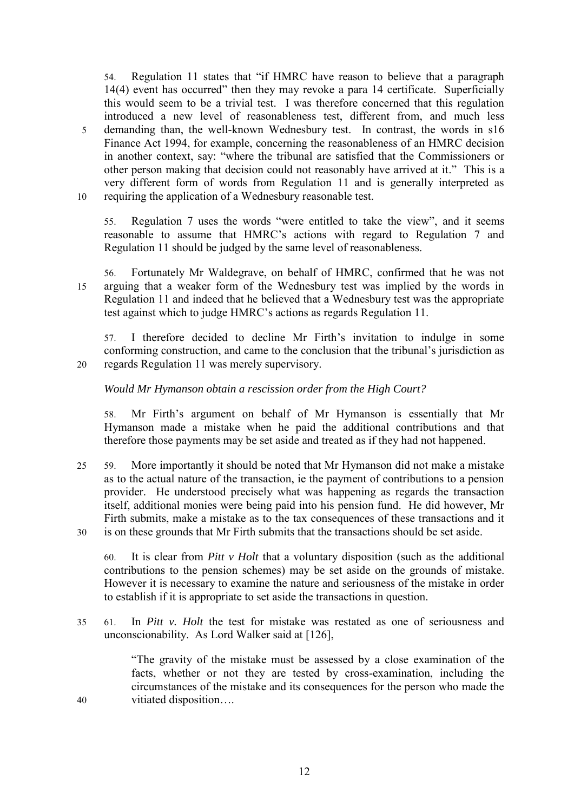54. Regulation 11 states that "if HMRC have reason to believe that a paragraph 14(4) event has occurred" then they may revoke a para 14 certificate. Superficially this would seem to be a trivial test. I was therefore concerned that this regulation introduced a new level of reasonableness test, different from, and much less 5 demanding than, the well-known Wednesbury test. In contrast, the words in s16 Finance Act 1994, for example, concerning the reasonableness of an HMRC decision in another context, say: "where the tribunal are satisfied that the Commissioners or other person making that decision could not reasonably have arrived at it." This is a very different form of words from Regulation 11 and is generally interpreted as 10 requiring the application of a Wednesbury reasonable test.

55. Regulation 7 uses the words "were entitled to take the view", and it seems reasonable to assume that HMRC's actions with regard to Regulation 7 and Regulation 11 should be judged by the same level of reasonableness.

56. Fortunately Mr Waldegrave, on behalf of HMRC, confirmed that he was not 15 arguing that a weaker form of the Wednesbury test was implied by the words in Regulation 11 and indeed that he believed that a Wednesbury test was the appropriate test against which to judge HMRC's actions as regards Regulation 11.

57. I therefore decided to decline Mr Firth's invitation to indulge in some conforming construction, and came to the conclusion that the tribunal's jurisdiction as 20 regards Regulation 11 was merely supervisory.

# *Would Mr Hymanson obtain a rescission order from the High Court?*

58. Mr Firth's argument on behalf of Mr Hymanson is essentially that Mr Hymanson made a mistake when he paid the additional contributions and that therefore those payments may be set aside and treated as if they had not happened.

25 59. More importantly it should be noted that Mr Hymanson did not make a mistake as to the actual nature of the transaction, ie the payment of contributions to a pension provider. He understood precisely what was happening as regards the transaction itself, additional monies were being paid into his pension fund. He did however, Mr Firth submits, make a mistake as to the tax consequences of these transactions and it 30 is on these grounds that Mr Firth submits that the transactions should be set aside.

60. It is clear from *Pitt v Holt* that a voluntary disposition (such as the additional contributions to the pension schemes) may be set aside on the grounds of mistake. However it is necessary to examine the nature and seriousness of the mistake in order to establish if it is appropriate to set aside the transactions in question.

35 61. In *Pitt v. Holt* the test for mistake was restated as one of seriousness and unconscionability. As Lord Walker said at [126],

"The gravity of the mistake must be assessed by a close examination of the facts, whether or not they are tested by cross-examination, including the circumstances of the mistake and its consequences for the person who made the 40 vitiated disposition….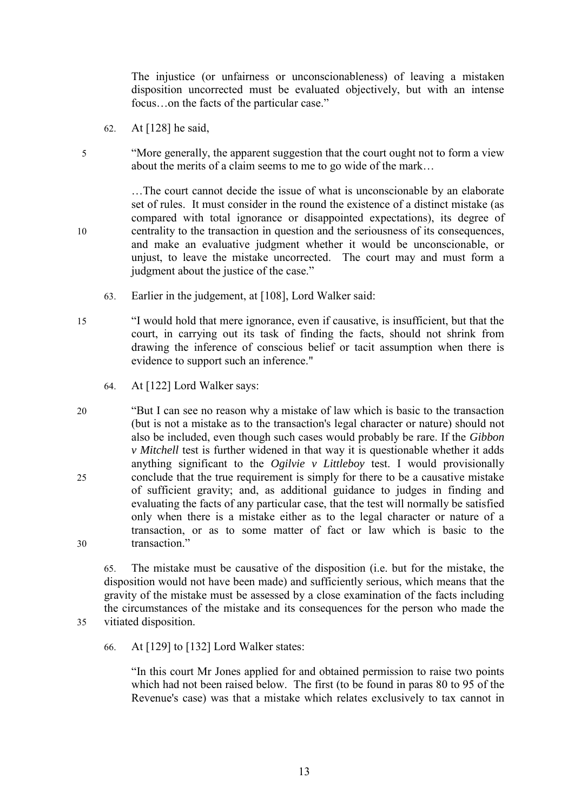The injustice (or unfairness or unconscionableness) of leaving a mistaken disposition uncorrected must be evaluated objectively, but with an intense focus…on the facts of the particular case."

- 62. At [128] he said,
- 5 "More generally, the apparent suggestion that the court ought not to form a view about the merits of a claim seems to me to go wide of the mark…

…The court cannot decide the issue of what is unconscionable by an elaborate set of rules. It must consider in the round the existence of a distinct mistake (as compared with total ignorance or disappointed expectations), its degree of 10 centrality to the transaction in question and the seriousness of its consequences, and make an evaluative judgment whether it would be unconscionable, or unjust, to leave the mistake uncorrected. The court may and must form a judgment about the justice of the case."

- 63. Earlier in the judgement, at [108], Lord Walker said:
- 15 "I would hold that mere ignorance, even if causative, is insufficient, but that the court, in carrying out its task of finding the facts, should not shrink from drawing the inference of conscious belief or tacit assumption when there is evidence to support such an inference."
	- 64. At [122] Lord Walker says:
- 20 "But I can see no reason why a mistake of law which is basic to the transaction (but is not a mistake as to the transaction's legal character or nature) should not also be included, even though such cases would probably be rare. If the *Gibbon v Mitchell* test is further widened in that way it is questionable whether it adds anything significant to the *Ogilvie v Littleboy* test. I would provisionally 25 conclude that the true requirement is simply for there to be a causative mistake of sufficient gravity; and, as additional guidance to judges in finding and evaluating the facts of any particular case, that the test will normally be satisfied only when there is a mistake either as to the legal character or nature of a transaction, or as to some matter of fact or law which is basic to the 30 transaction."

65. The mistake must be causative of the disposition (i.e. but for the mistake, the disposition would not have been made) and sufficiently serious, which means that the gravity of the mistake must be assessed by a close examination of the facts including the circumstances of the mistake and its consequences for the person who made the

35 vitiated disposition.

66. At [129] to [132] Lord Walker states:

"In this court Mr Jones applied for and obtained permission to raise two points which had not been raised below. The first (to be found in paras 80 to 95 of the Revenue's case) was that a mistake which relates exclusively to tax cannot in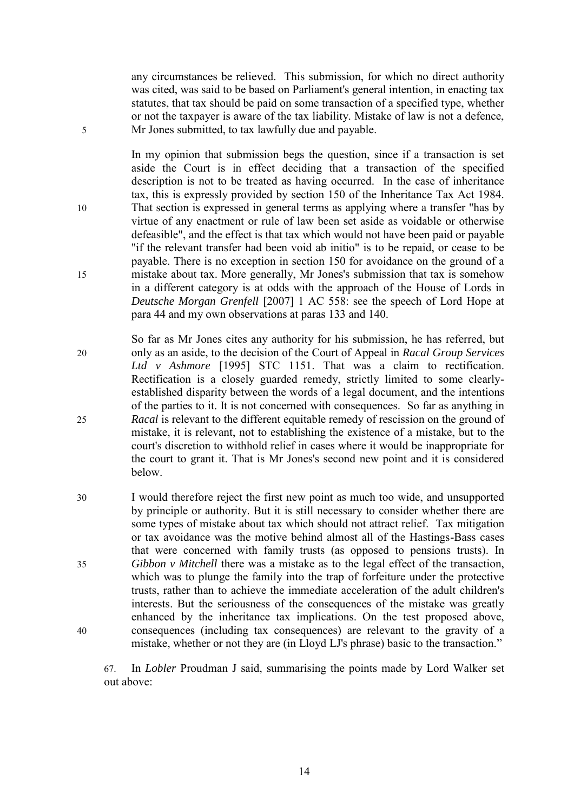any circumstances be relieved. This submission, for which no direct authority was cited, was said to be based on Parliament's general intention, in enacting tax statutes, that tax should be paid on some transaction of a specified type, whether or not the taxpayer is aware of the tax liability. Mistake of law is not a defence, 5 Mr Jones submitted, to tax lawfully due and payable.

In my opinion that submission begs the question, since if a transaction is set aside the Court is in effect deciding that a transaction of the specified description is not to be treated as having occurred. In the case of inheritance tax, this is expressly provided by section 150 of the Inheritance Tax Act 1984. 10 That section is expressed in general terms as applying where a transfer "has by virtue of any enactment or rule of law been set aside as voidable or otherwise defeasible", and the effect is that tax which would not have been paid or payable "if the relevant transfer had been void ab initio" is to be repaid, or cease to be payable. There is no exception in section 150 for avoidance on the ground of a 15 mistake about tax. More generally, Mr Jones's submission that tax is somehow in a different category is at odds with the approach of the House of Lords in *Deutsche Morgan Grenfell* [2007] 1 AC 558: see the speech of Lord Hope at para 44 and my own observations at paras 133 and 140.

- So far as Mr Jones cites any authority for his submission, he has referred, but 20 only as an aside, to the decision of the Court of Appeal in *Racal Group Services Ltd v Ashmore* [1995] STC 1151. That was a claim to rectification. Rectification is a closely guarded remedy, strictly limited to some clearlyestablished disparity between the words of a legal document, and the intentions of the parties to it. It is not concerned with consequences. So far as anything in 25 *Racal* is relevant to the different equitable remedy of rescission on the ground of mistake, it is relevant, not to establishing the existence of a mistake, but to the court's discretion to withhold relief in cases where it would be inappropriate for the court to grant it. That is Mr Jones's second new point and it is considered below.
- 30 I would therefore reject the first new point as much too wide, and unsupported by principle or authority. But it is still necessary to consider whether there are some types of mistake about tax which should not attract relief. Tax mitigation or tax avoidance was the motive behind almost all of the Hastings-Bass cases that were concerned with family trusts (as opposed to pensions trusts). In 35 *Gibbon v Mitchell* there was a mistake as to the legal effect of the transaction, which was to plunge the family into the trap of forfeiture under the protective trusts, rather than to achieve the immediate acceleration of the adult children's interests. But the seriousness of the consequences of the mistake was greatly enhanced by the inheritance tax implications. On the test proposed above, 40 consequences (including tax consequences) are relevant to the gravity of a mistake, whether or not they are (in Lloyd LJ's phrase) basic to the transaction."

67. In *Lobler* Proudman J said, summarising the points made by Lord Walker set out above:

14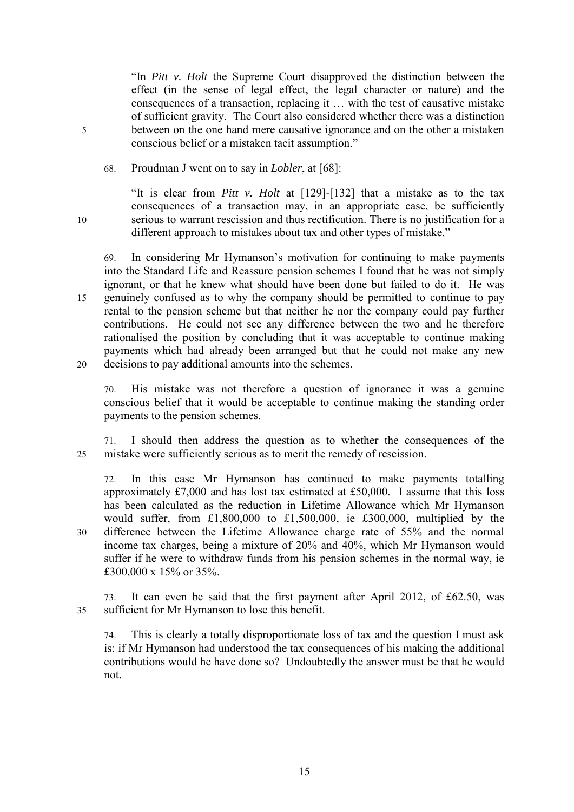"In *Pitt v. Holt* the Supreme Court disapproved the distinction between the effect (in the sense of legal effect, the legal character or nature) and the consequences of a transaction, replacing it … with the test of causative mistake of sufficient gravity. The Court also considered whether there was a distinction 5 between on the one hand mere causative ignorance and on the other a mistaken conscious belief or a mistaken tacit assumption."

68. Proudman J went on to say in *Lobler*, at [68]:

"It is clear from *Pitt v. Holt* at [129]-[132] that a mistake as to the tax consequences of a transaction may, in an appropriate case, be sufficiently 10 serious to warrant rescission and thus rectification. There is no justification for a different approach to mistakes about tax and other types of mistake."

69. In considering Mr Hymanson's motivation for continuing to make payments into the Standard Life and Reassure pension schemes I found that he was not simply ignorant, or that he knew what should have been done but failed to do it. He was 15 genuinely confused as to why the company should be permitted to continue to pay rental to the pension scheme but that neither he nor the company could pay further contributions. He could not see any difference between the two and he therefore rationalised the position by concluding that it was acceptable to continue making payments which had already been arranged but that he could not make any new 20 decisions to pay additional amounts into the schemes.

70. His mistake was not therefore a question of ignorance it was a genuine conscious belief that it would be acceptable to continue making the standing order payments to the pension schemes.

71. I should then address the question as to whether the consequences of the 25 mistake were sufficiently serious as to merit the remedy of rescission.

72. In this case Mr Hymanson has continued to make payments totalling approximately £7,000 and has lost tax estimated at £50,000. I assume that this loss has been calculated as the reduction in Lifetime Allowance which Mr Hymanson would suffer, from £1,800,000 to £1,500,000, ie £300,000, multiplied by the 30 difference between the Lifetime Allowance charge rate of 55% and the normal income tax charges, being a mixture of 20% and 40%, which Mr Hymanson would suffer if he were to withdraw funds from his pension schemes in the normal way, ie £300,000 x 15% or 35%.

73. It can even be said that the first payment after April 2012, of £62.50, was 35 sufficient for Mr Hymanson to lose this benefit.

74. This is clearly a totally disproportionate loss of tax and the question I must ask is: if Mr Hymanson had understood the tax consequences of his making the additional contributions would he have done so? Undoubtedly the answer must be that he would not.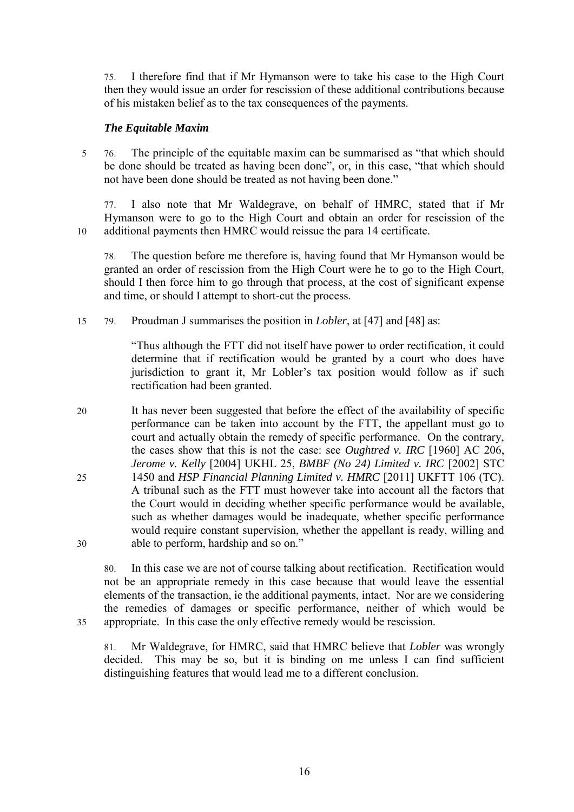75. I therefore find that if Mr Hymanson were to take his case to the High Court then they would issue an order for rescission of these additional contributions because of his mistaken belief as to the tax consequences of the payments.

# *The Equitable Maxim*

5 76. The principle of the equitable maxim can be summarised as "that which should be done should be treated as having been done", or, in this case, "that which should not have been done should be treated as not having been done."

77. I also note that Mr Waldegrave, on behalf of HMRC, stated that if Mr Hymanson were to go to the High Court and obtain an order for rescission of the 10 additional payments then HMRC would reissue the para 14 certificate.

78. The question before me therefore is, having found that Mr Hymanson would be granted an order of rescission from the High Court were he to go to the High Court, should I then force him to go through that process, at the cost of significant expense and time, or should I attempt to short-cut the process.

15 79. Proudman J summarises the position in *Lobler*, at [47] and [48] as:

"Thus although the FTT did not itself have power to order rectification, it could determine that if rectification would be granted by a court who does have jurisdiction to grant it, Mr Lobler's tax position would follow as if such rectification had been granted.

20 It has never been suggested that before the effect of the availability of specific performance can be taken into account by the FTT, the appellant must go to court and actually obtain the remedy of specific performance. On the contrary, the cases show that this is not the case: see *Oughtred v. IRC* [1960] AC 206, *Jerome v. Kelly* [2004] UKHL 25, *BMBF (No 24) Limited v. IRC* [2002] STC 25 1450 and *HSP Financial Planning Limited v. HMRC* [2011] UKFTT 106 (TC). A tribunal such as the FTT must however take into account all the factors that the Court would in deciding whether specific performance would be available, such as whether damages would be inadequate, whether specific performance would require constant supervision, whether the appellant is ready, willing and 30 able to perform, hardship and so on."

80. In this case we are not of course talking about rectification. Rectification would not be an appropriate remedy in this case because that would leave the essential elements of the transaction, ie the additional payments, intact. Nor are we considering the remedies of damages or specific performance, neither of which would be 35 appropriate. In this case the only effective remedy would be rescission.

81. Mr Waldegrave, for HMRC, said that HMRC believe that *Lobler* was wrongly decided. This may be so, but it is binding on me unless I can find sufficient distinguishing features that would lead me to a different conclusion.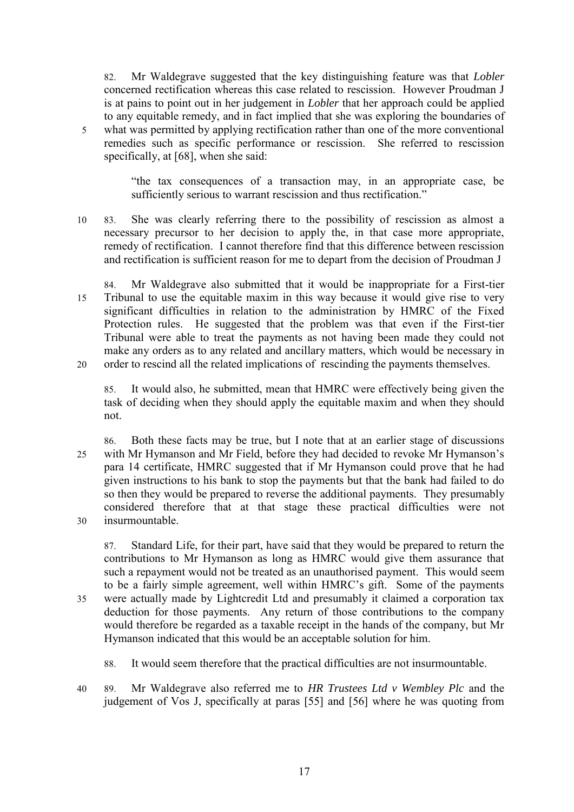82. Mr Waldegrave suggested that the key distinguishing feature was that *Lobler* concerned rectification whereas this case related to rescission. However Proudman J is at pains to point out in her judgement in *Lobler* that her approach could be applied to any equitable remedy, and in fact implied that she was exploring the boundaries of 5 what was permitted by applying rectification rather than one of the more conventional remedies such as specific performance or rescission. She referred to rescission specifically, at [68], when she said:

> "the tax consequences of a transaction may, in an appropriate case, be sufficiently serious to warrant rescission and thus rectification."

- 10 83. She was clearly referring there to the possibility of rescission as almost a necessary precursor to her decision to apply the, in that case more appropriate, remedy of rectification. I cannot therefore find that this difference between rescission and rectification is sufficient reason for me to depart from the decision of Proudman J
- 84. Mr Waldegrave also submitted that it would be inappropriate for a First-tier 15 Tribunal to use the equitable maxim in this way because it would give rise to very significant difficulties in relation to the administration by HMRC of the Fixed Protection rules. He suggested that the problem was that even if the First-tier Tribunal were able to treat the payments as not having been made they could not make any orders as to any related and ancillary matters, which would be necessary in 20 order to rescind all the related implications of rescinding the payments themselves.

85. It would also, he submitted, mean that HMRC were effectively being given the task of deciding when they should apply the equitable maxim and when they should not.

- 86. Both these facts may be true, but I note that at an earlier stage of discussions 25 with Mr Hymanson and Mr Field, before they had decided to revoke Mr Hymanson's para 14 certificate, HMRC suggested that if Mr Hymanson could prove that he had given instructions to his bank to stop the payments but that the bank had failed to do so then they would be prepared to reverse the additional payments. They presumably considered therefore that at that stage these practical difficulties were not 30 insurmountable.
- 87. Standard Life, for their part, have said that they would be prepared to return the contributions to Mr Hymanson as long as HMRC would give them assurance that such a repayment would not be treated as an unauthorised payment. This would seem to be a fairly simple agreement, well within HMRC's gift. Some of the payments 35 were actually made by Lightcredit Ltd and presumably it claimed a corporation tax deduction for those payments. Any return of those contributions to the company would therefore be regarded as a taxable receipt in the hands of the company, but Mr Hymanson indicated that this would be an acceptable solution for him.
	- 88. It would seem therefore that the practical difficulties are not insurmountable.
- 40 89. Mr Waldegrave also referred me to *HR Trustees Ltd v Wembley Plc* and the judgement of Vos J, specifically at paras [55] and [56] where he was quoting from
	- 17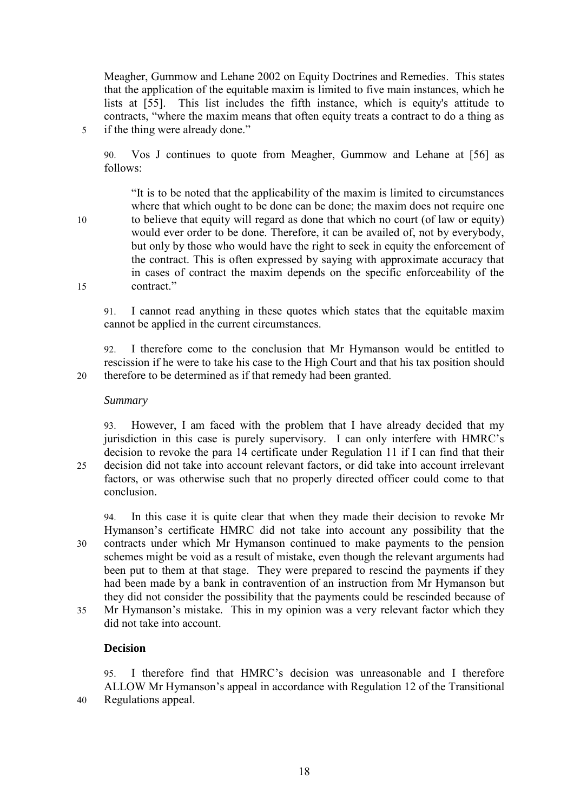Meagher, Gummow and Lehane 2002 on Equity Doctrines and Remedies. This states that the application of the equitable maxim is limited to five main instances, which he lists at [55]. This list includes the fifth instance, which is equity's attitude to contracts, "where the maxim means that often equity treats a contract to do a thing as 5 if the thing were already done."

90. Vos J continues to quote from Meagher, Gummow and Lehane at [56] as follows:

"It is to be noted that the applicability of the maxim is limited to circumstances where that which ought to be done can be done; the maxim does not require one 10 to believe that equity will regard as done that which no court (of law or equity) would ever order to be done. Therefore, it can be availed of, not by everybody, but only by those who would have the right to seek in equity the enforcement of the contract. This is often expressed by saying with approximate accuracy that in cases of contract the maxim depends on the specific enforceability of the 15 contract."

91. I cannot read anything in these quotes which states that the equitable maxim cannot be applied in the current circumstances.

92. I therefore come to the conclusion that Mr Hymanson would be entitled to rescission if he were to take his case to the High Court and that his tax position should 20 therefore to be determined as if that remedy had been granted.

## *Summary*

93. However, I am faced with the problem that I have already decided that my jurisdiction in this case is purely supervisory. I can only interfere with HMRC's decision to revoke the para 14 certificate under Regulation 11 if I can find that their 25 decision did not take into account relevant factors, or did take into account irrelevant factors, or was otherwise such that no properly directed officer could come to that conclusion.

94. In this case it is quite clear that when they made their decision to revoke Mr Hymanson's certificate HMRC did not take into account any possibility that the 30 contracts under which Mr Hymanson continued to make payments to the pension schemes might be void as a result of mistake, even though the relevant arguments had been put to them at that stage. They were prepared to rescind the payments if they had been made by a bank in contravention of an instruction from Mr Hymanson but they did not consider the possibility that the payments could be rescinded because of 35 Mr Hymanson's mistake. This in my opinion was a very relevant factor which they did not take into account.

## **Decision**

95. I therefore find that HMRC's decision was unreasonable and I therefore ALLOW Mr Hymanson's appeal in accordance with Regulation 12 of the Transitional 40 Regulations appeal.